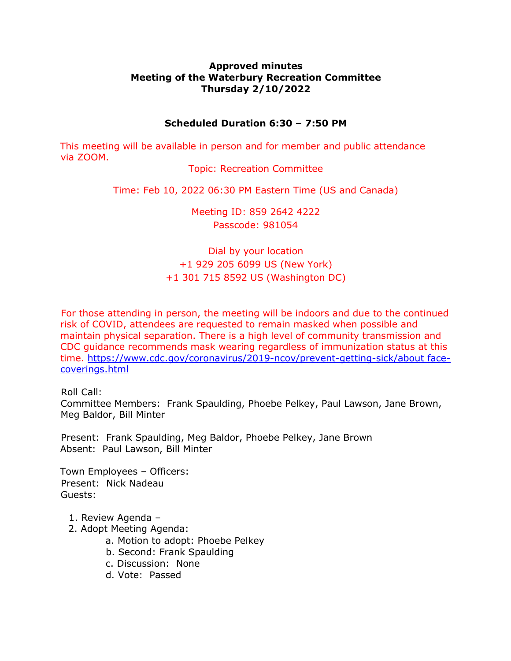## **Approved minutes Meeting of the Waterbury Recreation Committee Thursday 2/10/2022**

## **Scheduled Duration 6:30 – 7:50 PM**

This meeting will be available in person and for member and public attendance via ZOOM.

Topic: Recreation Committee

Time: Feb 10, 2022 06:30 PM Eastern Time (US and Canada)

Meeting ID: 859 2642 4222 Passcode: 981054

Dial by your location +1 929 205 6099 US (New York) +1 301 715 8592 US (Washington DC)

For those attending in person, the meeting will be indoors and due to the continued risk of COVID, attendees are requested to remain masked when possible and maintain physical separation. There is a high level of community transmission and CDC guidance recommends mask wearing regardless of immunization status at this time. https://www.cdc.gov/coronavirus/2019-ncov/prevent-getting-sick/about facecoverings.html

Roll Call:

Committee Members: Frank Spaulding, Phoebe Pelkey, Paul Lawson, Jane Brown, Meg Baldor, Bill Minter

Present: Frank Spaulding, Meg Baldor, Phoebe Pelkey, Jane Brown Absent: Paul Lawson, Bill Minter

Town Employees – Officers: Present: Nick Nadeau Guests:

- 1. Review Agenda –
- 2. Adopt Meeting Agenda:
	- a. Motion to adopt: Phoebe Pelkey
	- b. Second: Frank Spaulding
	- c. Discussion: None
	- d. Vote: Passed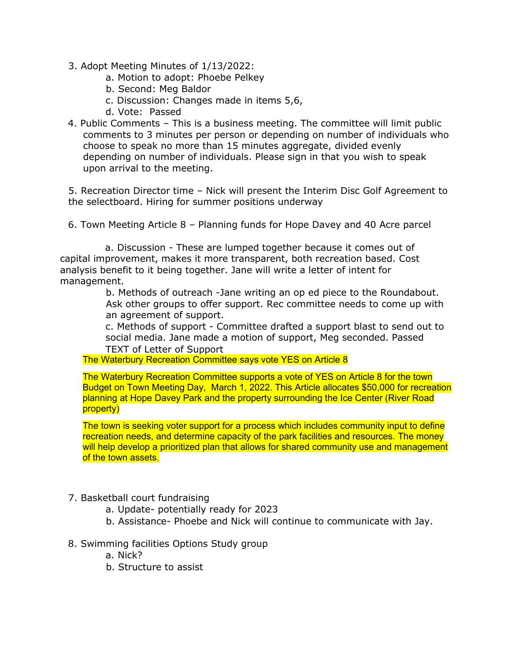- 3. Adopt Meeting Minutes of 1/13/2022:
	- a. Motion to adopt: Phoebe Pelkey
	- b. Second: Meg Baldor
	- c. Discussion: Changes made in items 5,6,
	- d. Vote: Passed
- 4. Public Comments This is a business meeting. The committee will limit public comments to 3 minutes per person or depending on number of individuals who choose to speak no more than 15 minutes aggregate, divided evenly depending on number of individuals. Please sign in that you wish to speak upon arrival to the meeting.

5. Recreation Director time – Nick will present the Interim Disc Golf Agreement to the selectboard. Hiring for summer positions underway

6. Town Meeting Article 8 – Planning funds for Hope Davey and 40 Acre parcel

a. Discussion - These are lumped together because it comes out of capital improvement, makes it more transparent, both recreation based. Cost analysis benefit to it being together. Jane will write a letter of intent for management.

> b. Methods of outreach -Jane writing an op ed piece to the Roundabout. Ask other groups to offer support. Rec committee needs to come up with an agreement of support.

> c. Methods of support - Committee drafted a support blast to send out to social media. Jane made a motion of support, Meg seconded. Passed TEXT of Letter of Support

The Waterbury Recreation Committee says vote YES on Article 8

The Waterbury Recreation Committee supports a vote of YES on Article 8 for the town Budget on Town Meeting Day, March 1, 2022. This Article allocates \$50,000 for recreation planning at Hope Davey Park and the property surrounding the Ice Center (River Road property)

The town is seeking voter support for a process which includes community input to define recreation needs, and determine capacity of the park facilities and resources. The money will help develop a prioritized plan that allows for shared community use and management of the town assets.

## 7. Basketball court fundraising

- a. Update- potentially ready for 2023
- b. Assistance- Phoebe and Nick will continue to communicate with Jay.
- 8. Swimming facilities Options Study group
	- a. Nick?
	- b. Structure to assist